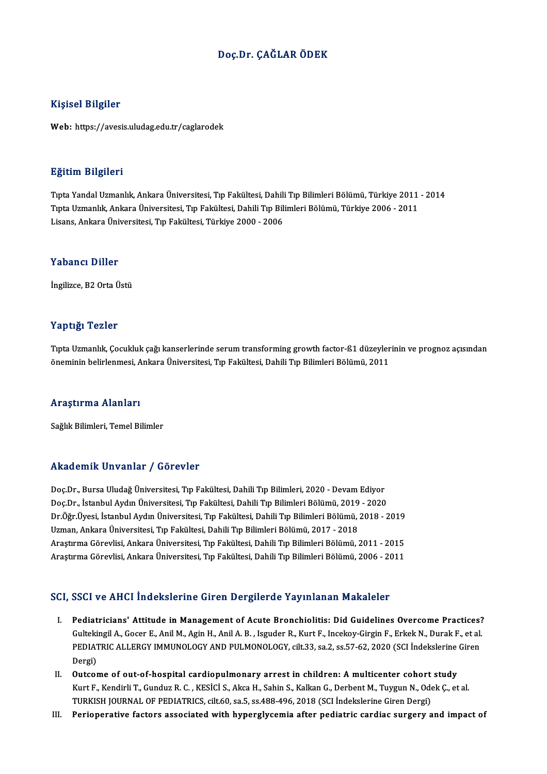## Doç.Dr. ÇAĞLAR ÖDEK

#### Kişisel Bilgiler

Web: https://avesis.uludag.edu.tr/caglarodek

#### Eğitim Bilgileri

E<mark>ğitim Bilgileri</mark><br>Tıpta Yandal Uzmanlık, Ankara Üniversitesi, Tıp Fakültesi, Dahili Tıp Bilimleri Bölümü, Türkiye 2011 - 2014<br>Tınta Hamanlık, Ankara Üniversitesi, Tıp Fakültesi, Dahili Tıp Bilimleri Bölümü, Türkiye 2006 -Sassim Birgirori<br>Tıpta Yandal Uzmanlık, Ankara Üniversitesi, Tıp Fakültesi, Dahili Tıp Bilimleri Bölümü, Türkiye 2011<br>Tıpta Uzmanlık, Ankara Üniversitesi, Tıp Fakültesi, Dahili Tıp Bilimleri Bölümü, Türkiye 2006 - 2011<br>Lis Tıpta Yandal Uzmanlık, Ankara Üniversitesi, Tıp Fakültesi, Dahili<br>Tıpta Uzmanlık, Ankara Üniversitesi, Tıp Fakültesi, Dahili Tıp Bil<br>Lisans, Ankara Üniversitesi, Tıp Fakültesi, Türkiye 2000 - 2006 Lisans, Ankara Üniversitesi, Tıp Fakültesi, Türkiye 2000 - 2006<br>Yabancı Diller

İngilizce, B2 Orta Üstü

#### Yaptığı Tezler

Yaptığı Tezler<br>Tıpta Uzmanlık, Çocukluk çağı kanserlerinde serum transforming growth factor-ß1 düzeylerinin ve prognoz açısından<br>Öneminin belirlenmesi, Ankana Üniversitesi, Tın Fekültesi, Debili Tın Bilimleri Bölümü, 2011. r üp eigi<br>Tıpta Uzmanlık, Çocukluk çağı kanserlerinde serum transforming growth factor-ß1 düzeyler<br>öneminin belirlenmesi, Ankara Üniversitesi, Tıp Fakültesi, Dahili Tıp Bilimleri Bölümü, 2011 öneminin belirlenmesi, Ankara Üniversitesi, Tıp Fakültesi, Dahili Tıp Bilimleri Bölümü, 2011<br>Araştırma Alanları

Sağlık Bilimleri, Temel Bilimler

#### Akademik Unvanlar / Görevler

Akademik Unvanlar / Görevler<br>Doç.Dr., Bursa Uludağ Üniversitesi, Tıp Fakültesi, Dahili Tıp Bilimleri, 2020 - Devam Ediyor<br>Des.Dr., İstanbul Ardın Üniversitesi, Tıp Fakültesi, Dahili Tıp Bilimleri, 2020 - Devam Ediyor rındu olirin "Oli vulitar" / "dör ovter"<br>Doç.Dr., Bursa Uludağ Üniversitesi, Tıp Fakültesi, Dahili Tıp Bilimleri, 2020 - Devam Ediyor<br>Dn Öğr Üyesi, İstanbul Aydın Üniversitesi, Tıp Fakültesi, Dahili Tıp Bilimleri Bölümü, 2 Doç.Dr., Bursa Uludağ Üniversitesi, Tıp Fakültesi, Dahili Tıp Bilimleri, 2020 - Devam Ediyor<br>Doç.Dr., İstanbul Aydın Üniversitesi, Tıp Fakültesi, Dahili Tıp Bilimleri Bölümü, 2019 - 2020<br>Dr.Öğr.Üyesi, İstanbul Aydın Üniver Doç.Dr., İstanbul Aydın Üniversitesi, Tıp Fakültesi, Dahili Tıp Bilimleri Bölümü, 2019 - 2020<br>Dr.Öğr.Üyesi, İstanbul Aydın Üniversitesi, Tıp Fakültesi, Dahili Tıp Bilimleri Bölümü, 2018 - :<br>Uzman, Ankara Üniversitesi, Tıp Dr.Öğr.Üyesi, İstanbul Aydın Üniversitesi, Tıp Fakültesi, Dahili Tıp Bilimleri Bölümü, 2018 - 2019<br>Uzman, Ankara Üniversitesi, Tıp Fakültesi, Dahili Tıp Bilimleri Bölümü, 2017 - 2018<br>Araştırma Görevlisi, Ankara Üniversites Araştırma Görevlisi, Ankara Üniversitesi, Tıp Fakültesi, Dahili Tıp Bilimleri Bölümü, 2011 - 2015<br>Araştırma Görevlisi, Ankara Üniversitesi, Tıp Fakültesi, Dahili Tıp Bilimleri Bölümü, 2006 - 2011

#### SCI, SSCI ve AHCI İndekslerine Giren Dergilerde Yayınlanan Makaleler

- CI, SSCI ve AHCI İndekslerine Giren Dergilerde Yayınlanan Makaleler<br>I. Pediatricians' Attitude in Management of Acute Bronchiolitis: Did Guidelines Overcome Practices?<br>Cultelingil A. Coser E. Anil M. Agin H. Anil A. B. Jes BULT VUTTELA INTERNATION THE UNION DUI BILDINE IN THE PROTHECOLLOGICAL PRODUCTS.<br>Gultekingil A., Gocer E., Anil M., Agin H., Anil A. B. , Isguder R., Kurt F., Incekoy-Girgin F., Erkek N., Durak F., et al.<br>REDIATRIC ALLERCY Pediatricians' Attitude in Management of Acute Bronchiolitis: Did Guidelines Overcome Practices?<br>Gultekingil A., Gocer E., Anil M., Agin H., Anil A. B. , Isguder R., Kurt F., Incekoy-Girgin F., Erkek N., Durak F., et al.<br>P Gultekingil A., Gocer E., Anil M., Agin H., Anil A. B. , Isguder R., Kurt F., Incekoy-Girgin F., Erkek N., Durak F., et al.<br>PEDIATRIC ALLERGY IMMUNOLOGY AND PULMONOLOGY, cilt.33, sa.2, ss.57-62, 2020 (SCI İndekslerine Gire PEDIATRIC ALLERGY IMMUNOLOGY AND PULMONOLOGY, cilt.33, sa.2, ss.57-62, 2020 (SCI Indekslerine<br>Dergi)<br>II. Outcome of out-of-hospital cardiopulmonary arrest in children: A multicenter cohort study<br>Kurt E. Kandirli T. Cundus
- Dergi)<br>Outcome of out-of-hospital cardiopulmonary arrest in children: A multicenter cohort study<br>Kurt F., Kendirli T., Gunduz R. C. , KESİCİ S., Akca H., Sahin S., Kalkan G., Derbent M., Tuygun N., Odek Ç., et al.<br>TURKISH Outcome of out-of-hospital cardiopulmonary arrest in children: A multicenter cohort<br>Kurt F., Kendirli T., Gunduz R. C. , KESİCİ S., Akca H., Sahin S., Kalkan G., Derbent M., Tuygun N., Ode<br>TURKISH JOURNAL OF PEDIATRICS, ci Kurt F., Kendirli T., Gunduz R. C. , KESİCİ S., Akca H., Sahin S., Kalkan G., Derbent M., Tuygun N., Odek Ç., et al.<br>TURKISH JOURNAL OF PEDIATRICS, cilt.60, sa.5, ss.488-496, 2018 (SCI İndekslerine Giren Dergi)<br>III. Pe
-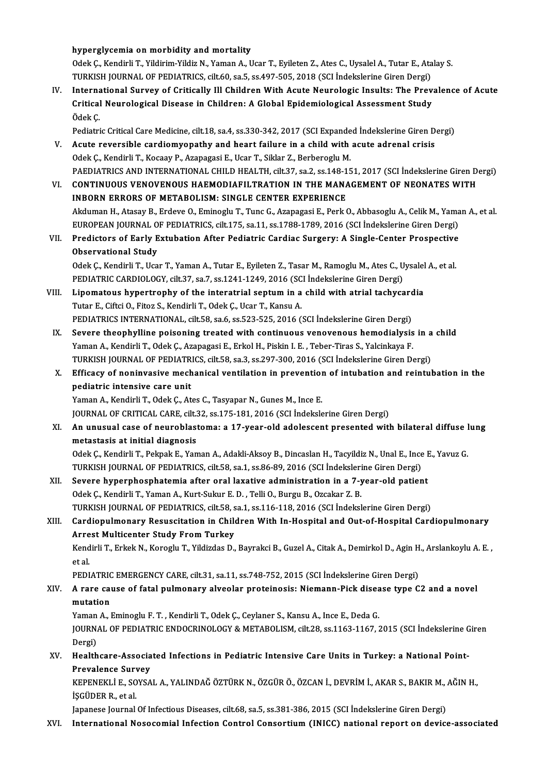hyperglycemia on morbidity and mortality

hyperglycemia on morbidity and mortality<br>Odek Ç., Kendirli T., Yildirim-Yildiz N., Yaman A., Ucar T., Eyileten Z., Ates C., Uysalel A., Tutar E., Atalay S.<br>TURKISH JOURNAL OF REDIATRICS, silt 60, 30 5, 53,497,505,2018 (SCL hyperglycemia on morbidity and mortality<br>Odek Ç., Kendirli T., Yildirim-Yildiz N., Yaman A., Ucar T., Eyileten Z., Ates C., Uysalel A., Tutar E., Ata<br>TURKISH JOURNAL OF PEDIATRICS, cilt.60, sa.5, ss.497-505, 2018 (SCI İnde Odek Ç., Kendirli T., Yildirim-Yildiz N., Yaman A., Ucar T., Eyileten Z., Ates C., Uysalel A., Tutar E., Atalay S.<br>TURKISH JOURNAL OF PEDIATRICS, cilt.60, sa.5, ss.497-505, 2018 (SCI Indekslerine Giren Dergi)<br>IV. Internati

TURKISH JOURNAL OF PEDIATRICS, cilt.60, sa.5, ss.497-505, 2018 (SCI İndekslerine Giren Dergi)<br>International Survey of Critically Ill Children With Acute Neurologic Insults: The Prev<br>Critical Neurological Disease in Childre Interna<br>Critical<br>Ödek Ç.<br><sup>Rediatri</sup> Critical Neurological Disease in Children: A Global Epidemiological Assessment Study<br>Ödek Ç.<br>Pediatric Critical Care Medicine, cilt.18, sa.4, ss.330-342, 2017 (SCI Expanded İndekslerine Giren Dergi)<br>Agute revergible eardio

- Ödek Ç.<br>Pediatric Critical Care Medicine, cilt.18, sa.4, ss.330-342, 2017 (SCI Expanded Indekslerine Giren D<br>V. Acute reversible cardiomyopathy and heart failure in a child with acute adrenal crisis<br>Odek C. Kondirli T. Kos Pediatric Critical Care Medicine, cilt.18, sa.4, ss.330-342, 2017 (SCI Expande<br>Acute reversible cardiomyopathy and heart failure in a child with<br>Odek Ç., Kendirli T., Kocaay P., Azapagasi E., Ucar T., Siklar Z., Berberoglu Acute reversible cardiomyopathy and heart failure in a child with acute adrenal crisis<br>Odek Ç., Kendirli T., Kocaay P., Azapagasi E., Ucar T., Siklar Z., Berberoglu M.<br>PAEDIATRICS AND INTERNATIONAL CHILD HEALTH, cilt.37, s Odek Ç., Kendirli T., Kocaay P., Azapagasi E., Ucar T., Siklar Z., Berberoglu M.<br>PAEDIATRICS AND INTERNATIONAL CHILD HEALTH, cilt.37, sa.2, ss.148-151, 2017 (SCI İndekslerine Giren D.<br>VI. CONTINUOUS VENOVENOUS HAEMODIAFILT
- PAEDIATRICS AND INTERNATIONAL CHILD HEALTH, cilt.37, sa.2, ss.148-1<br>CONTINUOUS VENOVENOUS HAEMODIAFILTRATION IN THE MANA<br>INBORN ERRORS OF METABOLISM: SINGLE CENTER EXPERIENCE VI. CONTINUOUS VENOVENOUS HAEMODIAFILTRATION IN THE MANAGEMENT OF NEONATES WITH<br>INBORN ERRORS OF METABOLISM: SINGLE CENTER EXPERIENCE<br>Akduman H., Atasay B., Erdeve O., Eminoglu T., Tunc G., Azapagasi E., Perk O., Abbasoglu INBORN ERRORS OF METABOLISM: SINGLE CENTER EXPERIENCE<br>Akduman H., Atasay B., Erdeve O., Eminoglu T., Tunc G., Azapagasi E., Perk O., Abbasoglu A., Celik M., Yama<br>EUROPEAN JOURNAL OF PEDIATRICS, cilt.175, sa.11, ss.1788-178 Akduman H., Atasay B., Erdeve O., Eminoglu T., Tunc G., Azapagasi E., Perk O., Abbasoglu A., Celik M., Yama<br>EUROPEAN JOURNAL OF PEDIATRICS, cilt.175, sa.11, ss.1788-1789, 2016 (SCI İndekslerine Giren Dergi)<br>VII. Predictors
- EUROPEAN JOURNAL O<br>Predictors of Early E<br>Observational Study<br>Odek C. Kendirli T. Hee VII. Predictors of Early Extubation After Pediatric Cardiac Surgery: A Single-Center Prospective<br>Observational Study<br>Odek Ç., Kendirli T., Ucar T., Yaman A., Tutar E., Eyileten Z., Tasar M., Ramoglu M., Ates C., Uysalel A. Odek Ç., Kendirli T., Ucar T., Yaman A., Tutar E., Eyileten Z., Tasar M., Ramoglu M., Ates C., Uysalel A., et al.

- Odek Ç., Kendirli T., Ucar T., Yaman A., Tutar E., Eyileten Z., Tasar M., Ramoglu M., Ates C., Uysalel<br>PEDIATRIC CARDIOLOGY, cilt.37, sa.7, ss.1241-1249, 2016 (SCI İndekslerine Giren Dergi)<br>VIII. Lipomatous hypertrophy of Tutar E., Ciftci O., Fitoz S., Kendirli T., Odek Ç., Ucar T., Kansu A.<br>PEDIATRICS INTERNATIONAL, cilt 58, sa.6, ss.523-525, 2016 (SCI İndekslerine Giren Dergi) Lipomatous hypertrophy of the interatrial septum in a child with atrial tachycard<br>Tutar E., Ciftci O., Fitoz S., Kendirli T., Odek Ç., Ucar T., Kansu A.<br>PEDIATRICS INTERNATIONAL, cilt.58, sa.6, ss.523-525, 2016 (SCI İndeks
- IX. Severe theophylline poisoning treated with continuous venovenous hemodialysis in a child Yaman A., Kendirli T., Odek Ç., Azapagasi E., Erkol H., Piskin I. E., Teber-Tiras S., Yalcinkaya F. Severe theophylline poisoning treated with continuous venovenous hemodialysis in a<br>Yaman A., Kendirli T., Odek Ç., Azapagasi E., Erkol H., Piskin I. E. , Teber-Tiras S., Yalcinkaya F.<br>TURKISH JOURNAL OF PEDIATRICS, cilt.58 Yaman A., Kendirli T., Odek Ç., Azapagasi E., Erkol H., Piskin I. E. , Teber-Tiras S., Yalcinkaya F.<br>TURKISH JOURNAL OF PEDIATRICS, cilt.58, sa.3, ss.297-300, 2016 (SCI İndekslerine Giren Dergi)<br>X. Efficacy of noninvasive
- TURKISH JOURNAL OF PEDIATR<br>Efficacy of noninvasive mech<br>pediatric intensive care unit Efficacy of noninvasive mechanical ventilation in prevention<br>pediatric intensive care unit<br>Yaman A., Kendirli T., Odek Ç., Ates C., Tasyapar N., Gunes M., Ince E.<br>JOUPNAL OF CRITICAL CARE sit 22, 28,175,191,2016 (SCL indek pediatric intensive care unit<br>Yaman A., Kendirli T., Odek Ç., Ates C., Tasyapar N., Gunes M., Ince E.<br>JOURNAL OF CRITICAL CARE, cilt.32, ss.175-181, 2016 (SCI İndekslerine Giren Dergi)

Yaman A., Kendirli T., Odek Ç., Ates C., Tasyapar N., Gunes M., Ince E.<br>JOURNAL OF CRITICAL CARE, cilt.32, ss.175-181, 2016 (SCI İndekslerine Giren Dergi)<br>XI. An unusual case of neuroblastoma: a 17-year-old adolescent JOURNAL OF CRITICAL CARE, cilt.<br>An unusual case of neuroblast<br>metastasis at initial diagnosis<br>Odek C. Kondirli T. Belmek E. Ven An unusual case of neuroblastoma: a 17-year-old adolescent presented with bilateral diffuse l<br>metastasis at initial diagnosis<br>Odek Ç., Kendirli T., Pekpak E., Yaman A., Adakli-Aksoy B., Dincaslan H., Tacyildiz N., Unal E.,

metastasis at initial diagnosis<br>Odek Ç., Kendirli T., Pekpak E., Yaman A., Adakli-Aksoy B., Dincaslan H., Tacyildiz N., Unal E., Ince<br>TURKISH JOURNAL OF PEDIATRICS, cilt.58, sa.1, ss.86-89, 2016 (SCI İndekslerine Giren Der Odek Ç., Kendirli T., Pekpak E., Yaman A., Adakli-Aksoy B., Dincaslan H., Tacyildiz N., Unal E., Ince E., Yavuz G.<br>TURKISH JOURNAL OF PEDIATRICS, cilt.58, sa.1, ss.86-89, 2016 (SCI İndekslerine Giren Dergi)<br>XII. Severe hyp

- TURKISH JOURNAL OF PEDIATRICS, cilt.58, sa.1, ss.86-89, 2016 (SCI İndeksleri<br>Severe hyperphosphatemia after oral laxative administration in a 7-y<br>Odek Ç., Kendirli T., Yaman A., Kurt-Sukur E. D. , Telli O., Burgu B., Ozcak Severe hyperphosphatemia after oral laxative administration in a 7-year-old patient<br>Odek Ç., Kendirli T., Yaman A., Kurt-Sukur E. D. , Telli O., Burgu B., Ozcakar Z. B.<br>TURKISH JOURNAL OF PEDIATRICS, cilt.58, sa.1, ss.116-
- XIII. Cardiopulmonary Resuscitation in Children With In-Hospital and Out-of-Hospital Cardiopulmonary<br>Arrest Multicenter Study From Turkey TURKISH JOURNAL OF PEDIATRICS, cilt.58, s<br>Cardiopulmonary Resuscitation in Chile<br>Arrest Multicenter Study From Turkey<br>Kondirli T. Erkek N. Koroglu T. Vildirdas D. Cardiopulmonary Resuscitation in Children With In-Hospital and Out-of-Hospital Cardiopulmonary<br>Arrest Multicenter Study From Turkey<br>Kendirli T., Erkek N., Koroglu T., Yildizdas D., Bayrakci B., Guzel A., Citak A., Demirkol

Arr<mark>e</mark><br>Kend<br>et al.<br>PEDI Kendirli T., Erkek N., Koroglu T., Yildizdas D., Bayrakci B., Guzel A., Citak A., Demirkol D., Agin H<br>et al.<br>PEDIATRIC EMERGENCY CARE, cilt.31, sa.11, ss.748-752, 2015 (SCI İndekslerine Giren Dergi)<br>A rare gause of fatal p

## et al.<br>PEDIATRIC EMERGENCY CARE, cilt.31, sa.11, ss.748-752, 2015 (SCI İndekslerine Giren Dergi)<br>XIV. A rare cause of fatal pulmonary alveolar proteinosis: Niemann-Pick disease type C2 and a novel<br>mutation PEDIATRIC<br>A rare cal<br>mutation<br>Vaman A 1 A rare cause of fatal pulmonary alveolar proteinosis: Niemann-Pick disea<br>mutation<br>Yaman A., Eminoglu F. T. , Kendirli T., Odek Ç., Ceylaner S., Kansu A., Ince E., Deda G.<br>JOURNAL OF PEDIATRIC ENDOCRINOLOCY & METAROLISM, si

mutation<br>Yaman A., Eminoglu F. T. , Kendirli T., Odek Ç., Ceylaner S., Kansu A., Ince E., Deda G.<br>JOURNAL OF PEDIATRIC ENDOCRINOLOGY & METABOLISM, cilt.28, ss.1163-1167, 2015 (SCI İndekslerine Giren Yaman<br>JOURN<br>Dergi)<br>Health JOURNAL OF PEDIATRIC ENDOCRINOLOGY & METABOLISM, cilt.28, ss.1163-1167, 2015 (SCI İndekslerine C<br>Dergi)<br>XV. Healthcare-Associated Infections in Pediatric Intensive Care Units in Turkey: a National Point-<br>Prevelance Survey

# Dergi)<br>Healthcare-Associa<br>Prevalence Survey<br>EEPENEELLE SOVSA Healthcare-Associated Infections in Pediatric Intensive Care Units in Turkey: a National Point-<br>Prevalence Survey<br>KEPENEKLİ E., SOYSAL A., YALINDAĞ ÖZTÜRK N., ÖZGÜR Ö., ÖZCAN İ., DEVRİM İ., AKAR S., BAKIR M., AĞIN H.,<br>İSCÜ

Prevalence Survey<br>KEPENEKLİ E., SOYSAL A., YALINDAĞ ÖZTÜRK N., ÖZGÜR Ö., ÖZCAN İ., DEVRİM İ., AKAR S., BAKIR M.,<br>İŞGÜDER R., et al.<br>Japanese Journal Of Infectious Diseases, cilt.68, sa.5, ss.381-386, 2015 (SCI İndekslerine KEPENEKLİ E., SOYSAL A., YALINDAĞ ÖZTÜRK N., ÖZGÜR Ö., ÖZCAN İ., DEVRİM İ., AKAR S., BAKIR M., .<br>İŞGÜDER R., et al.<br>Japanese Journal Of Infectious Diseases, cilt.68, sa.5, ss.381-386, 2015 (SCI İndekslerine Giren Dergi)<br>In

XVI. International Nosocomial Infection Control Consortium(INICC) national report on device-associated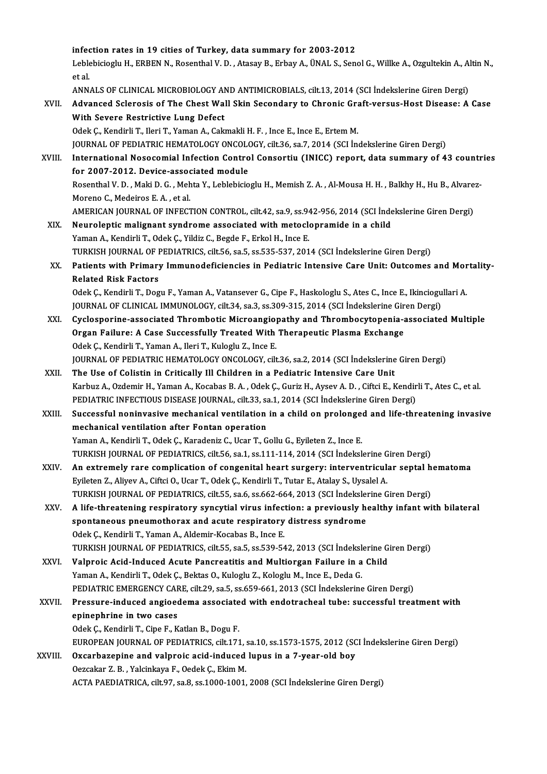infection rates in 19 cities of Turkey, data summary for 2003-2012<br>Leblabisiagh: H. EDBEN N. Besenthal V. D., Atasay B. Enhay A. ÜNALS, San

infection rates in 19 cities of Turkey, data summary for 2003-2012<br>Leblebicioglu H., ERBEN N., Rosenthal V. D. , Atasay B., Erbay A., ÜNAL S., Senol G., Willke A., Ozgultekin A., Altin N., i<mark>nfe</mark><br>Leble<br>et al. Leblebicioglu H., ERBEN N., Rosenthal V. D. , Atasay B., Erbay A., ÜNAL S., Senol G., Willke A., Ozgultekin A., Al<br>et al.<br>ANNALS OF CLINICAL MICROBIOLOGY AND ANTIMICROBIALS, cilt.13, 2014 (SCI İndekslerine Giren Dergi)<br>Adv

ANNALS OF CLINICAL MICROBIOLOGY AND ANTIMICROBIALS, cilt.13, 2014 (SCI Indekslerine Giren Dergi)

et al.<br>ANNALS OF CLINICAL MICROBIOLOGY AND ANTIMICROBIALS, cilt.13, 2014 (SCI İndekslerine Giren Dergi)<br>XVII. Advanced Sclerosis of The Chest Wall Skin Secondary to Chronic Graft-versus-Host Disease: A Case<br>With Severe Res

Odek Ç., Kendirli T., Ileri T., Yaman A., Cakmakli H. F., Ince E., Ince E., Ertem M. JOURNAL OF PEDIATRIC HEMATOLOGY ONCOLOGY, cilt.36, sa.7, 2014 (SCI İndekslerine Giren Dergi)

Odek Ç., Kendirli T., Ileri T., Yaman A., Cakmakli H. F. , Ince E., Ince E., Ertem M.<br>JOURNAL OF PEDIATRIC HEMATOLOGY ONCOLOGY, cilt.36, sa.7, 2014 (SCI İndekslerine Giren Dergi)<br>XVIII. International Nosocomial Infection C FOURNAL OF PEDIATRIC HEMATOLOGY ONCOLO<br>International Nosocomial Infection Contro<br>for 2007-2012. Device-associated module<br>Besenthal V. D. Malti D. G. Mahta V. Lablabisia International Nosocomial Infection Control Consortiu (INICC) report, data summary of 43 countr<br>for 2007-2012. Device-associated module<br>Rosenthal V. D. , Maki D. G. , Mehta Y., Leblebicioglu H., Memish Z. A. , Al-Mousa H. H for 2007-2012. Device-assoc<br>Rosenthal V. D. , Maki D. G. , Meh<br>Moreno C., Medeiros E. A. , et al.<br>AMERICAN JOURNAL OF INFECT Rosenthal V. D. , Maki D. G. , Mehta Y., Leblebicioglu H., Memish Z. A. , Al-Mousa H. H. , Balkhy H., Hu B., Alvare<br>Moreno C., Medeiros E. A. , et al.<br>AMERICAN JOURNAL OF INFECTION CONTROL, cilt.42, sa.9, ss.942-956, 2014

- Moreno C., Medeiros E. A., et al.<br>AMERICAN JOURNAL OF INFECTION CONTROL, cilt.42, sa.9, ss.942-956, 2014 (SCI Index).<br>XIX. Neuroleptic malignant syndrome associated with metoclopramide in a child<br>Vaman A. Kandink T. Odek C AMERICAN JOURNAL OF INFECTION CONTROL, cilt.42, sa.9, ss.94<br>Neuroleptic malignant syndrome associated with metocle<br>Yaman A., Kendirli T., Odek Ç., Yildiz C., Begde F., Erkol H., Ince E.<br>TURKISH JOURNAL OF REDIATRICS, silt Neuroleptic malignant syndrome associated with metoclopramide in a child<br>Yaman A., Kendirli T., Odek Ç., Yildiz C., Begde F., Erkol H., Ince E.<br>TURKISH JOURNAL OF PEDIATRICS, cilt.56, sa.5, ss.535-537, 2014 (SCI İndeksleri Yaman A., Kendirli T., Odek Ç., Yildiz C., Begde F., Erkol H., Ince E.<br>TURKISH JOURNAL OF PEDIATRICS, cilt.56, sa.5, ss.535-537, 2014 (SCI İndekslerine Giren Dergi)<br>XX. Patients with Primary Immunodeficiencies in Pediatric
- TURKISH JOURNAL OF P<br>Patients with Primary<br>Related Risk Factors Patients with Primary Immunodeficiencies in Pediatric Intensive Care Unit: Outcomes and Mor<br>Related Risk Factors<br>Odek Ç., Kendirli T., Dogu F., Yaman A., Vatansever G., Cipe F., Haskologlu S., Ates C., Ince E., Ikinciogull

Related Risk Factors<br>Odek Ç., Kendirli T., Dogu F., Yaman A., Vatansever G., Cipe F., Haskologlu S., Ates C., Ince E., Ikinciogu<br>JOURNAL OF CLINICAL IMMUNOLOGY, cilt.34, sa.3, ss.309-315, 2014 (SCI İndekslerine Giren Dergi JOURNAL OF CLINICAL IMMUNOLOGY, cilt.34, sa.3, ss.309-315, 2014 (SCI Indekslerine Giren Dergi)

- XXI. Cyclosporine-associated Thrombotic Microangiopathy and Thrombocytopenia-associated Multiple<br>Organ Failure: A Case Successfully Treated With Therapeutic Plasma Exchange Odek Ç., Kendirli T., Yaman A., Ileri T., Kuloglu Z., Ince E. Organ Failure: A Case Successfully Treated With Therapeutic Plasma Exchange<br>Odek Ç., Kendirli T., Yaman A., Ileri T., Kuloglu Z., Ince E.<br>JOURNAL OF PEDIATRIC HEMATOLOGY ONCOLOGY, cilt.36, sa.2, 2014 (SCI İndekslerine Gire Odek Ç., Kendirli T., Yaman A., Ileri T., Kuloglu Z., Ince E.<br>JOURNAL OF PEDIATRIC HEMATOLOGY ONCOLOGY, cilt.36, sa.2, 2014 (SCI İndekslerine<br>XXII. The Use of Colistin in Critically Ill Children in a Pediatric Intensive Ca
- JOURNAL OF PEDIATRIC HEMATOLOGY ONCOLOGY, cilt.36, sa.2, 2014 (SCI İndekslerine Giren Dergi)<br>The Use of Colistin in Critically Ill Children in a Pediatric Intensive Care Unit<br>Karbuz A., Ozdemir H., Yaman A., Kocabas B. A. The Use of Colistin in Critically Ill Children in a Pediatric Intensive Care Unit<br>Karbuz A., Ozdemir H., Yaman A., Kocabas B. A. , Odek Ç., Guriz H., Aysev A. D. , Ciftci E., Kendir<br>PEDIATRIC INFECTIOUS DISEASE JOURNAL, ci Karbuz A., Ozdemir H., Yaman A., Kocabas B. A. , Odek Ç., Guriz H., Aysev A. D. , Ciftci E., Kendirli T., Ates C., et al.<br>PEDIATRIC INFECTIOUS DISEASE JOURNAL, cilt.33, sa.1, 2014 (SCI Indekslerine Giren Dergi)<br>XXIII. Succ

PEDIATRIC INFECTIOUS DISEASE JOURNAL, cilt.33, sa.1, 2014 (SCI Indekslerine Giren Dergi)<br>Successful noninvasive mechanical ventilation in a child on prolonged and life-threatening invasive<br>mechanical ventilation after Font Yaman A., Kendirli T., Odek Ç., Karadeniz C., Ucar T., Gollu G., Eyileten Z., Ince E. TURKISH JOURNAL OF PEDIATRICS, cilt.56, sa.1, ss.111-114, 2014 (SCI İndekslerine Giren Dergi) Yaman A., Kendirli T., Odek Ç., Karadeniz C., Ucar T., Gollu G., Eyileten Z., Ince E.<br>TURKISH JOURNAL OF PEDIATRICS, cilt.56, sa.1, ss.111-114, 2014 (SCI İndekslerine Giren Dergi)<br>XXIV. An extremely rare complication of co

- TURKISH JOURNAL OF PEDIATRICS, cilt.56, sa.1, ss.111-114, 2014 (SCI İndekslerine G<br>An extremely rare complication of congenital heart surgery: interventricul:<br>Eyileten Z., Aliyev A., Ciftci O., Ucar T., Odek Ç., Kendirli T An extremely rare complication of congenital heart surgery: interventricular septal h<br>Eyileten Z., Aliyev A., Ciftci O., Ucar T., Odek Ç., Kendirli T., Tutar E., Atalay S., Uysalel A.<br>TURKISH JOURNAL OF PEDIATRICS, cilt.55 Eyileten Z., Aliyev A., Ciftci O., Ucar T., Odek Ç., Kendirli T., Tutar E., Atalay S., Uysalel A.<br>TURKISH JOURNAL OF PEDIATRICS, cilt.55, sa.6, ss.662-664, 2013 (SCI Indekslerine Giren Dergi)<br>XXV. A life-threatening respir
- TURKISH JOURNAL OF PEDIATRICS, cilt.55, sa.6, ss.662-664, 2013 (SCI İndeksler<br>A life-threatening respiratory syncytial virus infection: a previously herontaneous pneumothorax and acute respiratory distress syndrome A life-threatening respiratory syncytial virus infection: a previously healthy infant with bilateral<br>spontaneous pneumothorax and acute respiratory distress syndrome<br>Odek Ç., Kendirli T., Yaman A., Aldemir-Kocabas B., Ince spontaneous pneumothorax and acute respiratory distress syndrome<br>Odek Ç., Kendirli T., Yaman A., Aldemir-Kocabas B., Ince E.<br>TURKISH JOURNAL OF PEDIATRICS, cilt.55, sa.5, ss.539-542, 2013 (SCI İndekslerine Giren Dergi)<br>Val Odek Ç., Kendirli T., Yaman A., Aldemir-Kocabas B., Ince E.<br>TURKISH JOURNAL OF PEDIATRICS, cilt.55, sa.5, ss.539-542, 2013 (SCI İndekslerine G.<br>XXVI. Valproic Acid-Induced Acute Pancreatitis and Multiorgan Failure in a Chi
- TURKISH JOURNAL OF PEDIATRICS, cilt.55, sa.5, ss.539-542, 2013 (SCI İndeksl<br>Valproic Acid-Induced Acute Pancreatitis and Multiorgan Failure in a<br>Yaman A., Kendirli T., Odek Ç., Bektas O., Kuloglu Z., Kologlu M., Ince E., D Valproic Acid-Induced Acute Pancreatitis and Multiorgan Failure in a Child<br>Yaman A., Kendirli T., Odek Ç., Bektas O., Kuloglu Z., Kologlu M., Ince E., Deda G.<br>PEDIATRIC EMERGENCY CARE, cilt.29, sa.5, ss.659-661, 2013 (SCI Yaman A., Kendirli T., Odek Ç., Bektas O., Kuloglu Z., Kologlu M., Ince E., Deda G.<br>PEDIATRIC EMERGENCY CARE, cilt.29, sa.5, ss.659-661, 2013 (SCI İndekslerine Giren Dergi)<br>XXVII. Pressure-induced angioedema associated wit
- PEDIATRIC EMERGENCY CAF<br>Pressure-induced angioed<br>epinephrine in two cases Pressure-induced angioedema associate<br>epinephrine in two cases<br>Odek Ç., Kendirli T., Cipe F., Katlan B., Dogu F.<br>EUROPEAN JOURNAL OF REDIATRICS silt 171 epinephrine in two cases<br>Odek Ç., Kendirli T., Cipe F., Katlan B., Dogu F.<br>EUROPEAN JOURNAL OF PEDIATRICS, cilt.171, sa.10, ss.1573-1575, 2012 (SCI İndekslerine Giren Dergi)

XXVIII. Oxcarbazepine and valproic acid-induced lupus in a 7-year-old boy Oezcakar Z.B., Yalcinkaya F., Oedek Ç., Ekim M. ACTA PAEDIATRICA, cilt.97, sa.8, ss.1000-1001, 2008 (SCI İndekslerine Giren Dergi)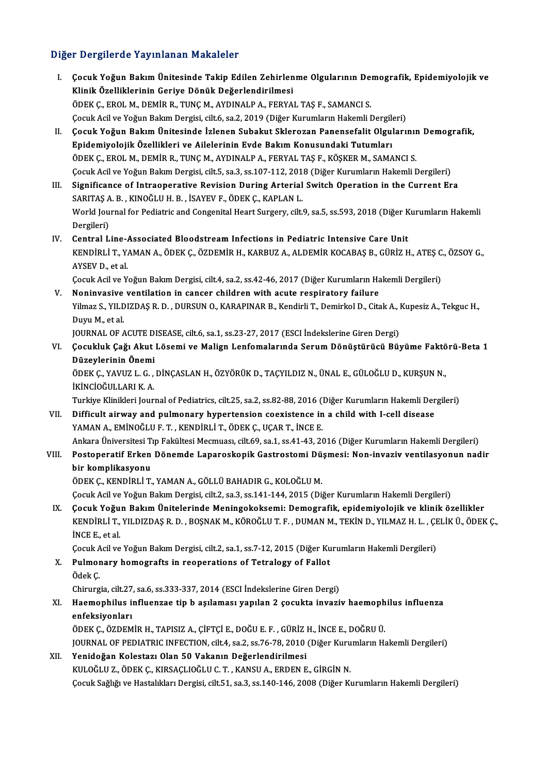## Diğer Dergilerde Yayınlanan Makaleler

- iğer Dergilerde Yayınlanan Makaleler<br>I. Çocuk Yoğun Bakım Ünitesinde Takip Edilen Zehirlenme Olgularının Demografik, Epidemiyolojik ve<br>Klinik Özelliklerinin Cerive Dönük Değerlendirilmesi Klinik Yoğun Bakım Ünitesinde Takip Edilen Zehirlen<br>Klinik Özelliklerinin Geriye Dönük Değerlendirilmesi<br>ÖDEK GIEROL MUDEMİR RUTUC MUAYDINALPA EERYA Klinik Özelliklerinin Geriye Dönük Değerlendirilmesi<br>ÖDEK Ç., EROL M., DEMİR R., TUNÇ M., AYDINALP A., FERYAL TAŞ F., SAMANCI S. Çocuk Acil ve Yoğun Bakım Dergisi, cilt.6, sa.2, 2019 (Diğer Kurumların Hakemli Dergileri)
- II. Çocuk Yoğun Bakım Ünitesinde İzlenen Subakut Sklerozan Panensefalit Olgularının Demografik, Epidemiyolojik Özellikleri ve Ailelerinin Evde Bakım Konusundaki Tutumları ÖDEK Ç., EROL M., DEMİR R., TUNÇ M., AYDINALP A., FERYAL TAŞ F., KÖŞKER M., SAMANCI S. Epidemiyolojik Özellikleri ve Ailelerinin Evde Bakım Konusundaki Tutumları<br>ÖDEK Ç., EROL M., DEMİR R., TUNÇ M., AYDINALP A., FERYAL TAŞ F., KÖŞKER M., SAMANCI S.<br>Çocuk Acil ve Yoğun Bakım Dergisi, cilt.5, sa.3, ss.107-112, ÖDEK Ç., EROL M., DEMİR R., TUNÇ M., AYDINALP A., FERYAL TAŞ F., KÖŞKER M., SAMANCI S.<br>Cocuk Acil ve Yoğun Bakım Dergisi, cilt.5, sa.3, ss.107-112, 2018 (Diğer Kurumların Hakemli Dergileri)<br>III. Significance of Intraoperat
- Cocuk Acil ve Yoğun Bakım Dergisi, cilt.5, sa.3, ss.107-112, 2013<br>Significance of Intraoperative Revision During Arterial<br>SARITAŞ A. B. , KINOĞLU H. B. , İSAYEV F., ÖDEK Ç., KAPLAN L.<br>World Journal for Pediatrie and Congon Significance of Intraoperative Revision During Arterial Switch Operation in the Current Era<br>SARITAŞ A. B. , KINOĞLU H. B. , İSAYEV F., ÖDEK Ç., KAPLAN L.<br>World Journal for Pediatric and Congenital Heart Surgery, cilt.9, sa SARITAŞ A. B. , KINOĞLU H. B. , İSAYEV F., ÖDEK Ç., KAPLAN L.<br>World Journal for Pediatric and Congenital Heart Surgery, cilt.9, sa.5, ss.593, 2018 (Diğer Kurumların Hakemli<br>Dergileri)
- IV. Central Line-Associated Bloodstream Infections in Pediatric Intensive Care Unit KENDİRLİT.,YAMANA.,ÖDEKÇ.,ÖZDEMİRH.,KARBUZA.,ALDEMİRKOCABAŞB.,GÜRİZH.,ATEŞC.,ÖZSOYG., AYSEV D., et al. KENDİRLİ T., YAMAN A., ÖDEK Ç., ÖZDEMİR H., KARBUZ A., ALDEMİR KOCABAŞ B., GÜRİZ H., ATEŞ C<br>AYSEV D., et al.<br>Çocuk Acil ve Yoğun Bakım Dergisi, cilt.4, sa.2, ss.42-46, 2017 (Diğer Kurumların Hakemli Dergileri)<br>Naninyasiya

AYSEV D., et al.<br>Cocuk Acil ve Yoğun Bakım Dergisi, cilt.4, sa.2, ss.42-46, 2017 (Diğer Kurumların Ha<br>V. Noninvasive ventilation in cancer children with acute respiratory failure<br>Vilmar S. VII DIZDAS B. D. DIJBSIN Q. KARAB Çocuk Acil ve Yoğun Bakım Dergisi, cilt.4, sa.2, ss.42-46, 2017 (Diğer Kurumların Hakemli Dergileri)<br>N<mark>oninvasive ventilation in cancer children with acute respiratory failure</mark><br>Yilmaz S., YILDIZDAŞ R. D. , DURSUN O., KARAP **Noninvasive<br>Yilmaz S., YILD<br>Duyu M., et al.<br>JOUPNAL OF 4** Yilmaz S., YILDIZDAŞ R. D. , DURSUN O., KARAPINAR B., Kendirli T., Demirkol D., Citak A., I<br>Duyu M., et al.<br>JOURNAL OF ACUTE DISEASE, cilt.6, sa.1, ss.23-27, 2017 (ESCI İndekslerine Giren Dergi)<br>Cosultluk Cağı Akut Lösemi

Duyu M., et al.<br>JOURNAL OF ACUTE DISEASE, cilt.6, sa.1, ss.23-27, 2017 (ESCI İndekslerine Giren Dergi)<br>VI. Çocukluk Çağı Akut Lösemi ve Malign Lenfomalarında Serum Dönüştürücü Büyüme Faktörü-Beta 1<br>Dürevlerinin Önemi JOURNAL OF ACUTE D<br>Çocukluk Çağı Akut<br>Düzeylerinin Önemi<br>ÖDEK C. XAVUZ L. C Çocukluk Çağı Akut Lösemi ve Malign Lenfomalarında Serum Dönüştürücü Büyüme Faktö<br>Düzeylerinin Önemi<br>ÖDEK Ç., YAVUZ L. G. , DİNÇASLAN H., ÖZYÖRÜK D., TAÇYILDIZ N., ÜNAL E., GÜLOĞLU D., KURŞUN N.,<br>İYİNCİQĞULLARLK A

Düzeylerinin Önemi<br>ÖDEK Ç., YAVUZ L. G. , DİNÇASLAN H., ÖZYÖRÜK D., TAÇYILDIZ N., ÜNAL E., GÜLOĞLU D., KURŞUN N.,<br>İKİNCİOĞULLARI K. A. ÖDEK Ç., YAVUZ L. G. , DİNÇASLAN H., ÖZYÖRÜK D., TAÇYILDIZ N., ÜNAL E., GÜLOĞLU D., KURŞUN N.,<br>İKİNCİOĞULLARI K. A.<br>Turkiye Klinikleri Journal of Pediatrics, cilt.25, sa.2, ss.82-88, 2016 (Diğer Kurumların Hakemli Dergiler

IKINCIOĞULLARI K. A.<br>Turkiye Klinikleri Journal of Pediatrics, cilt.25, sa.2, ss.82-88, 2016 (Diğer Kurumların Hakemli Der<br>VII. Difficult airway and pulmonary hypertension coexistence in a child with I-cell disease<br>VAM VII. Difficult airway and pulmonary hypertension coexistence in a child with I-cell disease YAMAN A, EMINOĞLU F. T., KENDİRLİ T., ÖDEK Ç., UÇAR T., İNCE E. Ankara Üniversitesi Tıp Fakültesi Mecmuası, cilt.69, sa.1, ss.41-43, 2016 (Diğer Kurumların Hakemli Dergileri) YAMAN A., EMİNOĞLU F. T. , KENDİRLİ T., ÖDEK Ç., UÇAR T., İNCE E.<br>Ankara Üniversitesi Tıp Fakültesi Mecmuası, cilt.69, sa.1, ss.41-43, 2016 (Diğer Kurumların Hakemli Dergileri)<br>VIII. Postoperatif Erken Dönemde Laparosk

## Ankara Üniversitesi T<br>Postoperatif Erken<br>bir komplikasyonu<br>ÖDEK C. KENDIBLİ T bir komplikasyonu<br>ÖDEK Ç., KENDİRLİ T., YAMAN A., GÖLLÜ BAHADIR G., KOLOĞLU M.

Çocuk Acil ve Yoğun Bakım Dergisi, cilt.2, sa.3, ss.141-144, 2015 (Diğer Kurumların Hakemli Dergileri)

IX. Cocuk Yoğun Bakım Ünitelerinde Meningokoksemi: Demografik, epidemiyolojik ve klinik özellikler Çocuk Acil ve Yoğun Bakım Dergisi, cilt.2, sa.3, ss.141-144, 2015 (Diğer Kurumların Hakemli Dergileri)<br>Ç<mark>ocuk Yoğun Bakım Ünitelerinde Meningokoksemi: Demografik, epidemiyolojik ve klinik özellikler<br>KENDİRLİ T., YILDIZDAŞ </mark> **Çocuk Yoğu<br>KENDİRLİ T.,<br>İNCE E., et al.** KENDİRLİ T., YILDIZDAŞ R. D. , BOŞNAK M., KÖROĞLU T. F. , DUMAN M., TEKİN D., YILMAZ H. L. , ÇE<br>İNCE E., et al.<br>Çocuk Acil ve Yoğun Bakım Dergisi, cilt.2, sa.1, ss.7-12, 2015 (Diğer Kurumların Hakemli Dergileri)<br>Pulmanarıy

Çocuk Acil ve Yoğun Bakım Dergisi, cilt.2, sa.1, ss.7-12, 2015 (Diğer Kurumların Hakemli Dergileri)

INCE E., et al.<br>Cocuk Acil ve Yoğun Bakım Dergisi, cilt.2, sa.1, ss.7-12, 2015 (Diğer Ku<br>X. Pulmonary homografts in reoperations of Tetralogy of Fallot<br>Ödek C.

Chirurgia, cilt.27, sa.6, ss.333-337, 2014 (ESCI İndekslerine Giren Dergi)

## Ödek Ç.<br>Chirurgia, cilt.27, sa.6, ss.333-337, 2014 (ESCI İndekslerine Giren Dergi)<br>XI. Haemophilus influenzae tip b aşılaması yapılan 2 çocukta invaziv haemophilus influenza<br>onfeksivenleru Chirurgia, cilt.27<br>Haemophilus i:<br>enfeksiyonları<br>ÖDEK G. ÖZDEM Haemophilus influenzae tip b aşılaması yapılan 2 çocukta invaziv haemoph<br>enfeksiyonları<br>ÖDEK Ç., ÖZDEMİR H., TAPISIZ A., ÇİFTÇİ E., DOĞU E. F. , GÜRİZ H., İNCE E., DOĞRU Ü.<br>IQUPNAL OF PEDLATPLC INEECTION .sit 4. sa 3. ss 7

enfeksiyonları<br>ÖDEK Ç., ÖZDEMİR H., TAPISIZ A., ÇİFTÇİ E., DOĞU E. F. , GÜRİZ H., İNCE E., DOĞRU Ü.<br>JOURNAL OF PEDIATRIC INFECTION, cilt.4, sa.2, ss.76-78, 2010 (Diğer Kurumların Hakemli Dergileri)<br>Yonidoğan Kolostarı Olan ÖDEK Ç., ÖZDEMİR H., TAPISIZ A., ÇİFTÇİ E., DOĞU E. F. , GÜRİZ H., İNCE E., DOĞRU Ü.<br>JOURNAL OF PEDIATRIC INFECTION, cilt.4, sa.2, ss.76-78, 2010 (Diğer Kurumların Ha<br>XII. Yenidoğan Kolestazı Olan 50 Vakanın Değerlendirilm

## JOURNAL OF PEDIATRIC INFECTION, cilt.4, sa.2, ss.76-78, 2010 (Diğer Kuru<br>Yenidoğan Kolestazı Olan 50 Vakanın Değerlendirilmesi<br>KULOĞLU Z., ÖDEK Ç., KIRSAÇLIOĞLU C. T. , KANSU A., ERDEN E., GİRGİN N.<br>Cesuk Sağlığı ve Hastal Çocuk Sağlığı ve Hastalıkları Dergisi, cilt.51, sa.3, ss.140-146, 2008 (Diğer Kurumların Hakemli Dergileri)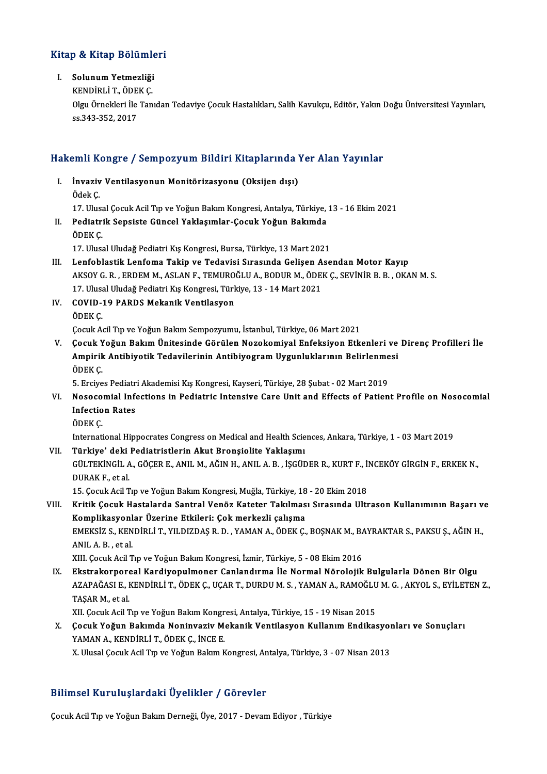# .<br>Kitap & Kitap Bölümleri itap & Kitap Bölümle<br>I. Solunum Yetmezliği<br>KENDİBLİT ÖDEKC

## I. Solunum Yetmezliği<br>KENDİRLİ T., ÖDEK Ç.

Solunum Yetmezliği<br>KENDİRLİ T., ÖDEK Ç.<br>Olgu Örnekleri İle Tanıdan Tedaviye Çocuk Hastalıkları, Salih Kavukçu, Editör, Yakın Doğu Üniversitesi Yayınları, KENDİRLİ T., ÖDE<br>Olgu Örnekleri İle<br>ss.343-352, 2017

# ss.343-352, 2017<br>Hakemli Kongre / Sempozyum Bildiri Kitaplarında Yer Alan Yayınlar

akemli Kongre / Sempozyum Bildiri Kitaplarında Y<br>I. İnvaziv Ventilasyonun Monitörizasyonu (Oksijen dışı)<br>Ödek*C* I. İnvaziv Ventilasyonun Monitörizasyonu (Oksijen dışı)<br>Ödek Ç. İnvaziv Ventilasyonun Monitörizasyonu (Oksijen dışı)<br>Ödek Ç.<br>17. Ulusal Çocuk Acil Tıp ve Yoğun Bakım Kongresi, Antalya, Türkiye, 13 - 16 Ekim 2021<br>Podiatrik Sansista Günsel Yaklasımlar, Gosuk Yoğun Bakımda II. Pediatrik Sepsiste Güncel Yaklaşımlar-Çocuk Yoğun Bakımda<br>ÖDEK C. 17. Ulusa<br>Pediatri<br>ÖDEK Ç.<br>17. Ulusa 17. Ulusal Uludağ Pediatri Kış Kongresi, Bursa, Türkiye, 13 Mart 2021 III. Lenfoblastik Lenfoma Takip ve Tedavisi Sırasında Gelişen Asendan Motor Kayıp 17. Ulusal Uludağ Pediatri Kış Kongresi, Bursa, Türkiye, 13 Mart 2021<br>Lenfoblastik Lenfoma Takip ve Tedavisi Sırasında Gelişen Asendan Motor Kayıp<br>AKSOY G. R. , ERDEM M., ASLAN F., TEMUROĞLU A., BODUR M., ÖDEK Ç., SEVİNİR Lenfoblastik Lenfoma Takip ve Tedavisi Sırasında Gelişen A<br>AKSOY G. R. , ERDEM M., ASLAN F., TEMUROĞLU A., BODUR M., ÖDEI<br>17. Ulusal Uludağ Pediatri Kış Kongresi, Türkiye, 13 - 14 Mart 2021<br>COVID 19. BABDS Mekanik Ventiles IV. COVID-19 PARDS Mekanik Ventilasyon<br>ÖDEK C. 17. Ulusal Uludağ Pediatri Kış Kongresi, Türkiye, 13 - 14 Mart 2021 ÇocukAcilTıp veYoğunBakımSempozyumu, İstanbul,Türkiye,06Mart2021 V. Çocuk Yoğun Bakım Ünitesinde Görülen Nozokomiyal Enfeksiyon Etkenleri ve Direnç Profilleri İle Çocuk Acil Tıp ve Yoğun Bakım Sempozyumu, İstanbul, Türkiye, 06 Mart 2021<br>Çocuk Yoğun Bakım Ünitesinde Görülen Nozokomiyal Enfeksiyon Etkenleri ve<br>Ampirik Antibiyotik Tedavilerinin Antibiyogram Uygunluklarının Belirlenmesi **Çocuk Y<br>Ampirik<br>ÖDEK Ç.** Ampirik Antibiyotik Tedavilerinin Antibiyogram Uygunluklarının Belirlenme<br>ÖDEK Ç.<br>5. Erciyes Pediatri Akademisi Kış Kongresi, Kayseri, Türkiye, 28 Şubat - 02 Mart 2019<br>Nasasamial Infastions in Badiatria Intensiya Cana Unit ÖDEK Ç.<br>5. Erciyes Pediatri Akademisi Kış Kongresi, Kayseri, Türkiye, 28 Şubat - 02 Mart 2019<br>VI. Nosocomial Infections in Pediatric Intensive Care Unit and Effects of Patient Profile on Nosocomial<br>Infection Pates 5. Erciyes Pediatr<br>Nosocomial Infe<br>Infection Rates<br>ÖDEK C Nosoco<br>Infectio<br>ÖDEK Ç.<br>Internati Infection Rates<br>ÖDEK Ç.<br>International Hippocrates Congress on Medical and Health Sciences, Ankara, Türkiye, 1 - 03 Mart 2019<br>Türkiye' deki Redistristlerin Akut Prensielite Veklesum. ÖDEK Ç.<br>International Hippocrates Congress on Medical and Health Scie<br>VII. Türkiye' deki Pediatristlerin Akut Bronşiolite Yaklaşımı<br>CÜLTEKİNCİL A CÖCER E ANIL M AĞIN HANILA R. İSCÜL International Hippocrates Congress on Medical and Health Sciences, Ankara, Türkiye, 1 - 03 Mart 2019<br><mark>Türkiye' deki Pediatristlerin Akut Bronşiolite Yaklaşımı</mark><br>GÜLTEKİNGİL A., GÖÇER E., ANIL M., AĞIN H., ANIL A. B. , İŞGÜD **Türkiye' deki<br>GÜLTEKİNGİL A<br>DURAK F., et al.**<br>15. Cocuk Acil T GÜLTEKİNGİL A., GÖÇER E., ANIL M., AĞIN H., ANIL A. B. , İŞGÜDER R., KURT F., İ!<br>DURAK F., et al.<br>15. Çocuk Acil Tıp ve Yoğun Bakım Kongresi, Muğla, Türkiye, 18 - 20 Ekim 2018<br>Kritik Cosuk Hastalarda Santral Vanës Katatar DURAK F., et al.<br>15. Çocuk Acil Tıp ve Yoğun Bakım Kongresi, Muğla, Türkiye, 18 - 20 Ekim 2018<br>VIII. Kritik Çocuk Hastalarda Santral Venöz Kateter Takılması Sırasında Ultrason Kullanımının Başarı ve<br>Kamplikasyonlar Üzerine 15. Çocuk Acil Tıp ve Yoğun Bakım Kongresi, Muğla, Türkiye, 18<br>Kritik Çocuk Hastalarda Santral Venöz Kateter Takılmas<br>Komplikasyonlar Üzerine Etkileri: Çok merkezli çalışma<br>EMEKSİZ S. KENDİBLİ T. YU DIZDAS B. D. XAMAN A. Ö Kritik Çocuk Hastalarda Santral Venöz Kateter Takılması Sırasında Ultrason Kullanımının Başarı v<br>Komplikasyonlar Üzerine Etkileri: Çok merkezli çalışma<br>EMEKSİZ S., KENDİRLİ T., YILDIZDAŞ R. D. , YAMAN A., ÖDEK Ç., BOŞNAK M Komplikasyonlar Üzerine Etkileri: Çok merkezli çalışma<br>EMEKSİZ S., KENDİRLİ T., YILDIZDAŞ R. D. , YAMAN A., ÖDEK Ç., BOŞNAK M., BAYRAKTAR S., PAKSU Ş., AĞIN H.,<br>ANIL A. B. , et al. XIII. Çocuk Acil Tıp ve Yoğun Bakım Kongresi, İzmir, Türkiye, 5 - 08 Ekim 2016 IX. Ekstrakorporeal Kardiyopulmoner Canlandırma İle Normal Nörolojik Bulgularla Dönen Bir Olgu XIII. Çocuk Acil Tıp ve Yoğun Bakım Kongresi, İzmir, Türkiye, 5 - 08 Ekim 2016<br>Ekstrakorporeal Kardiyopulmoner Canlandırma İle Normal Nörolojik Bulgularla Dönen Bir Olgu<br>AZAPAĞASI E., KENDİRLİ T., ÖDEK Ç., UÇAR T., DURDU M <mark>Ekstrakorpore</mark><br>AZAPAĞASI E., I<br>TAŞAR M., et al.<br>XII. Cogul: Agil T AZAPAĞASI E., KENDİRLİ T., ÖDEK Ç., UÇAR T., DURDU M. S. , YAMAN A., RAMOĞLU<br>TAŞAR M., et al.<br>XII. Çocuk Acil Tıp ve Yoğun Bakım Kongresi, Antalya, Türkiye, 15 - 19 Nisan 2015<br>Çocuk Yoğun Bakımda Noninyaziy Makanik Ventila TAŞAR M., et al.<br>XII. Çocuk Acil Tıp ve Yoğun Bakım Kongresi, Antalya, Türkiye, 15 - 19 Nisan 2015<br>X. Çocuk Yoğun Bakımda Noninvaziv Mekanik Ventilasyon Kullanım Endikasyonları ve Sonuçları<br>XAMAN A. KENDİRLİ T. ÖDEK C. XII. Çocuk Acil Tıp ve Yoğun Bakım Kongr<br>**Çocuk Yoğun Bakımda Noninvaziv M**<br>YAMAN A., KENDİRLİ T., ÖDEK Ç., İNCE E.<br>Y. Husal Cosuk Asil Tın ve Yoğun Bakım k Çocuk Yoğun Bakımda Noninvaziv Mekanik Ventilasyon Kullanım Endikasyor<br>YAMAN A., KENDİRLİ T., ÖDEK Ç., İNCE E.<br>X. Ulusal Çocuk Acil Tıp ve Yoğun Bakım Kongresi, Antalya, Türkiye, 3 - 07 Nisan 2013

X. Ulusal Çocuk Acil Tıp ve Yoğun Bakım Kongresi, Antalya, Türkiye, 3 - 07 Nisan 2013<br>Bilimsel Kuruluşlardaki Üyelikler / Görevler

Çocuk Acil Tıp ve Yoğun Bakım Derneği, Üye, 2017 - Devam Ediyor , Türkiye